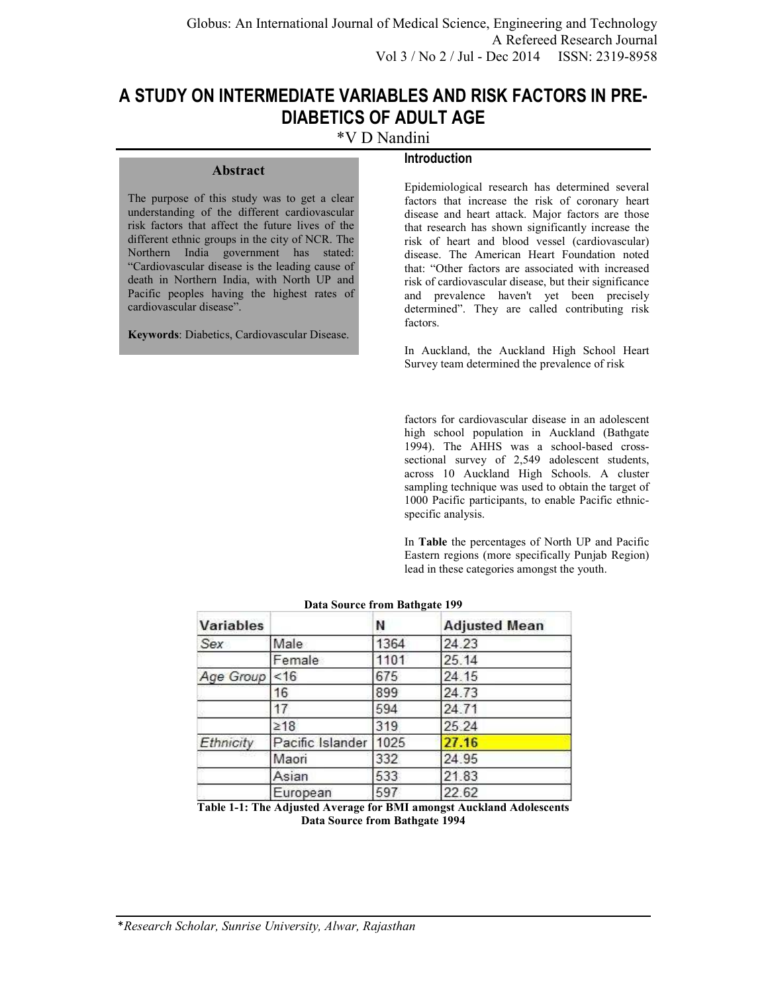# **A STUDY ON INTERMEDIATE VARIABLES AND RISK FACTORS IN PRE-DIABETICS OF ADULT AGE**

\*V D Nandini

# **Introduction**

The purpose of this study was to get a clear understanding of the different cardiovascular risk factors that affect the future lives of the different ethnic groups in the city of NCR. The Northern India government has stated: "Cardiovascular disease is the leading cause of death in Northern India, with North UP and Pacific peoples having the highest rates of cardiovascular disease".

**Abstract** 

**Keywords**: Diabetics, Cardiovascular Disease.

Epidemiological research has determined several factors that increase the risk of coronary heart disease and heart attack. Major factors are those that research has shown significantly increase the risk of heart and blood vessel (cardiovascular) disease. The American Heart Foundation noted that: "Other factors are associated with increased risk of cardiovascular disease, but their significance and prevalence haven't yet been precisely determined". They are called contributing risk factors.

In Auckland, the Auckland High School Heart Survey team determined the prevalence of risk

factors for cardiovascular disease in an adolescent high school population in Auckland (Bathgate 1994). The AHHS was a school-based crosssectional survey of 2,549 adolescent students, across 10 Auckland High Schools. A cluster sampling technique was used to obtain the target of 1000 Pacific participants, to enable Pacific ethnicspecific analysis.

In **Table** the percentages of North UP and Pacific Eastern regions (more specifically Punjab Region) lead in these categories amongst the youth.

| <b>Variables</b> |                  | Ν    | <b>Adjusted Mean</b> |
|------------------|------------------|------|----------------------|
| Sex              | Male             | 1364 | 24.23                |
|                  | Female           | 1101 | 25.14                |
| Age Group        | < 16             | 675  | 24.15                |
|                  | 16               | 899  | 24.73                |
|                  | 17               | 594  | 24.71                |
|                  | $\geq 18$        | 319  | 25.24                |
| Ethnicity        | Pacific Islander | 1025 | 27.16                |
|                  | Maori            | 332  | 24.95                |
|                  | Asian            | 533  | 21.83                |
|                  | European         | 597  | 22.62                |

#### **Data Source from Bathgate 199**

**Table 1-1: The Adjusted Average for BMI amongst Auckland Adolescents Data Source from Bathgate 1994**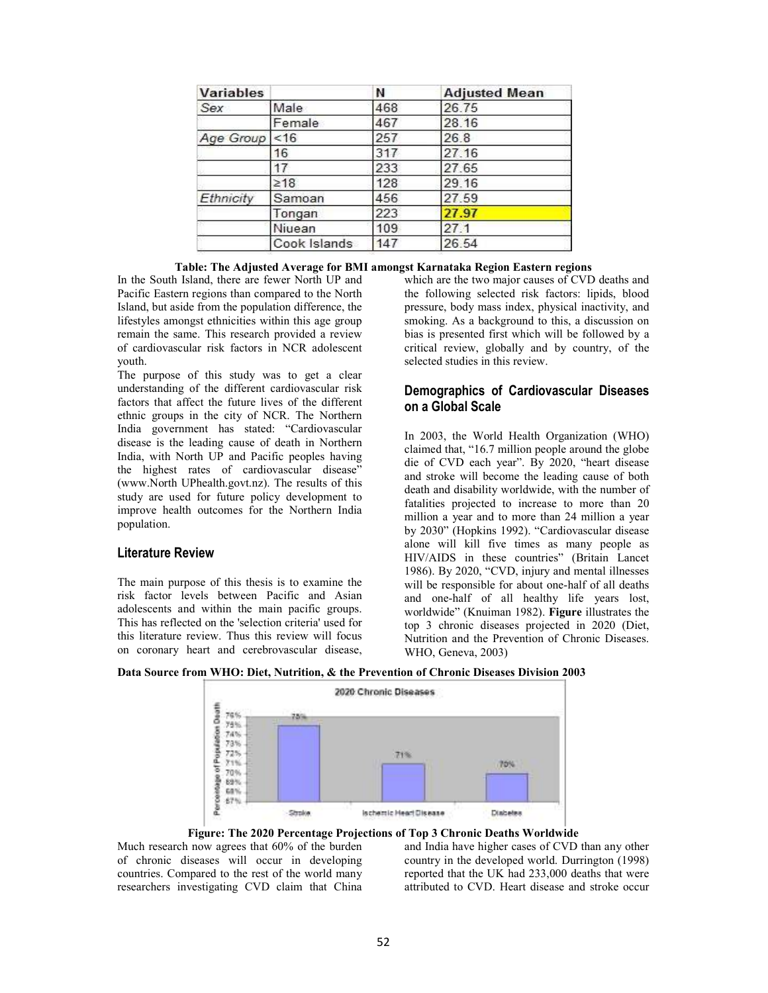| <b>Variables</b> |              | Ν   | <b>Adjusted Mean</b> |
|------------------|--------------|-----|----------------------|
| Sex              | Male         | 468 | 26.75                |
|                  | Female       | 467 | 28.16                |
| Age Group        | < 16         | 257 | 26.8                 |
|                  | 16           | 317 | 27.16                |
|                  | 17           | 233 | 27.65                |
|                  | $\geq 18$    | 128 | 29.16                |
| Ethnicity        | Samoan       | 456 | 27.59                |
|                  | Tongan       | 223 | 27.97                |
|                  | Niuean       | 109 | 27.1                 |
|                  | Cook Islands | 147 | 26.54                |

#### **Table: The Adjusted Average for BMI amongst Karnataka Region Eastern regions**

In the South Island, there are fewer North UP and Pacific Eastern regions than compared to the North Island, but aside from the population difference, the lifestyles amongst ethnicities within this age group remain the same. This research provided a review of cardiovascular risk factors in NCR adolescent youth.

The purpose of this study was to get a clear understanding of the different cardiovascular risk factors that affect the future lives of the different ethnic groups in the city of NCR. The Northern India government has stated: "Cardiovascular disease is the leading cause of death in Northern India, with North UP and Pacific peoples having the highest rates of cardiovascular disease" (www.North UPhealth.govt.nz). The results of this study are used for future policy development to improve health outcomes for the Northern India population.

#### **Literature Review**

The main purpose of this thesis is to examine the risk factor levels between Pacific and Asian adolescents and within the main pacific groups. This has reflected on the 'selection criteria' used for this literature review. Thus this review will focus on coronary heart and cerebrovascular disease, which are the two major causes of CVD deaths and the following selected risk factors: lipids, blood pressure, body mass index, physical inactivity, and smoking. As a background to this, a discussion on bias is presented first which will be followed by a critical review, globally and by country, of the selected studies in this review.

# **Demographics of Cardiovascular Diseases on a Global Scale**

In 2003, the World Health Organization (WHO) claimed that, "16.7 million people around the globe die of CVD each year". By 2020, "heart disease and stroke will become the leading cause of both death and disability worldwide, with the number of fatalities projected to increase to more than 20 million a year and to more than 24 million a year by 2030" (Hopkins 1992). "Cardiovascular disease alone will kill five times as many people as HIV/AIDS in these countries" (Britain Lancet 1986). By 2020, "CVD, injury and mental illnesses will be responsible for about one-half of all deaths and one-half of all healthy life years lost, worldwide" (Knuiman 1982). **Figure** illustrates the top 3 chronic diseases projected in 2020 (Diet, Nutrition and the Prevention of Chronic Diseases. WHO, Geneva, 2003)

#### **Data Source from WHO: Diet, Nutrition, & the Prevention of Chronic Diseases Division 2003**



**Figure: The 2020 Percentage Projections of Top 3 Chronic Deaths Worldwide**

Much research now agrees that 60% of the burden of chronic diseases will occur in developing countries. Compared to the rest of the world many researchers investigating CVD claim that China

and India have higher cases of CVD than any other country in the developed world. Durrington (1998) reported that the UK had 233,000 deaths that were attributed to CVD. Heart disease and stroke occur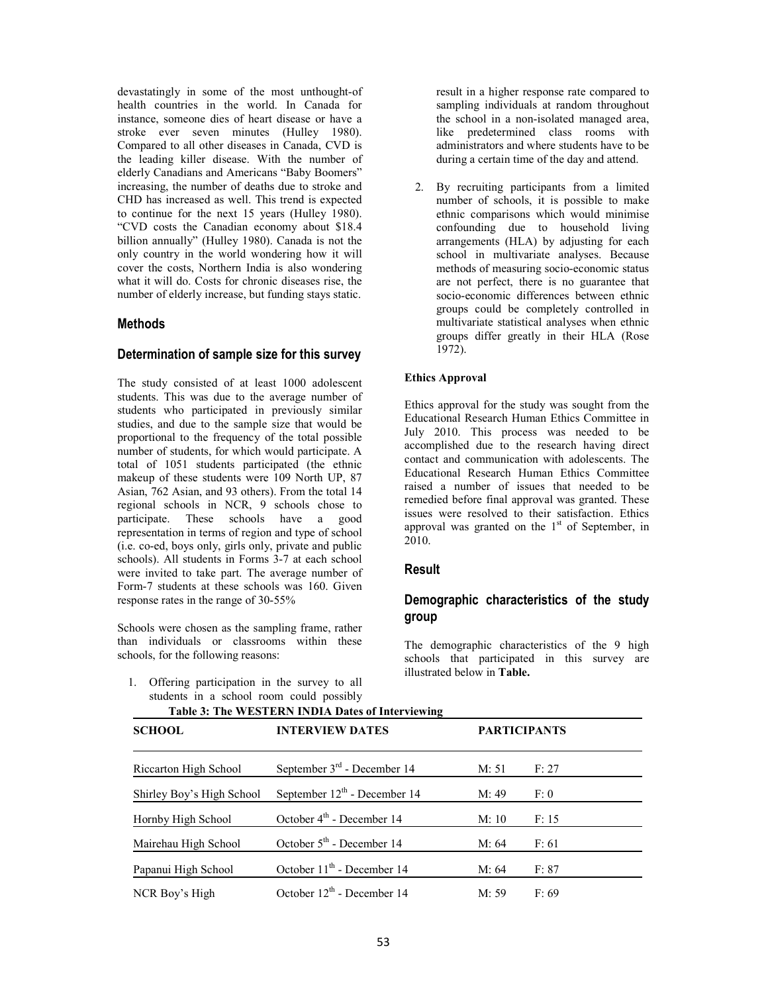devastatingly in some of the most unthought-of health countries in the world. In Canada for instance, someone dies of heart disease or have a stroke ever seven minutes (Hulley 1980). Compared to all other diseases in Canada, CVD is the leading killer disease. With the number of elderly Canadians and Americans "Baby Boomers" increasing, the number of deaths due to stroke and CHD has increased as well. This trend is expected to continue for the next 15 years (Hulley 1980). "CVD costs the Canadian economy about \$18.4 billion annually" (Hulley 1980). Canada is not the only country in the world wondering how it will cover the costs, Northern India is also wondering what it will do. Costs for chronic diseases rise, the number of elderly increase, but funding stays static.

### **Methods**

#### **Determination of sample size for this survey**

The study consisted of at least 1000 adolescent students. This was due to the average number of students who participated in previously similar studies, and due to the sample size that would be proportional to the frequency of the total possible number of students, for which would participate. A total of 1051 students participated (the ethnic makeup of these students were 109 North UP, 87 Asian, 762 Asian, and 93 others). From the total 14 regional schools in NCR, 9 schools chose to participate. These schools have a good representation in terms of region and type of school (i.e. co-ed, boys only, girls only, private and public schools). All students in Forms 3-7 at each school were invited to take part. The average number of Form-7 students at these schools was 160. Given response rates in the range of 30-55%

Schools were chosen as the sampling frame, rather than individuals or classrooms within these schools, for the following reasons:

result in a higher response rate compared to sampling individuals at random throughout the school in a non-isolated managed area, like predetermined class rooms with administrators and where students have to be during a certain time of the day and attend.

2. By recruiting participants from a limited number of schools, it is possible to make ethnic comparisons which would minimise confounding due to household living arrangements (HLA) by adjusting for each school in multivariate analyses. Because methods of measuring socio-economic status are not perfect, there is no guarantee that socio-economic differences between ethnic groups could be completely controlled in multivariate statistical analyses when ethnic groups differ greatly in their HLA (Rose  $1972$ ).

#### **Ethics Approval**

Ethics approval for the study was sought from the Educational Research Human Ethics Committee in July 2010. This process was needed to be accomplished due to the research having direct contact and communication with adolescents. The Educational Research Human Ethics Committee raised a number of issues that needed to be remedied before final approval was granted. These issues were resolved to their satisfaction. Ethics approval was granted on the  $1<sup>st</sup>$  of September, in 2010.

#### **Result**

# **Demographic characteristics of the study group**

The demographic characteristics of the 9 high schools that participated in this survey are illustrated below in **Table.** 

1. Offering participation in the survey to all students in a school room could possibly

| <b>SCHOOL</b>             | <b>INTERVIEW DATES</b>                |       | <b>PARTICIPANTS</b> |  |
|---------------------------|---------------------------------------|-------|---------------------|--|
| Riccarton High School     | September $3rd$ - December 14         | M: 51 | F: 27               |  |
| Shirley Boy's High School | September $12^{th}$ - December 14     | M: 49 | F: 0                |  |
| Hornby High School        | October $4th$ - December 14           | M:10  | F: 15               |  |
| Mairehau High School      | October 5 <sup>th</sup> - December 14 | M: 64 | F:61                |  |

**Table 3: The WESTERN INDIA Dates of Interviewing** 

Papanui High School October 11<sup>th</sup> - December 14 M: 64 F: 87 NCR Boy's High  $October 12<sup>th</sup> - December 14$  M: 59 F: 69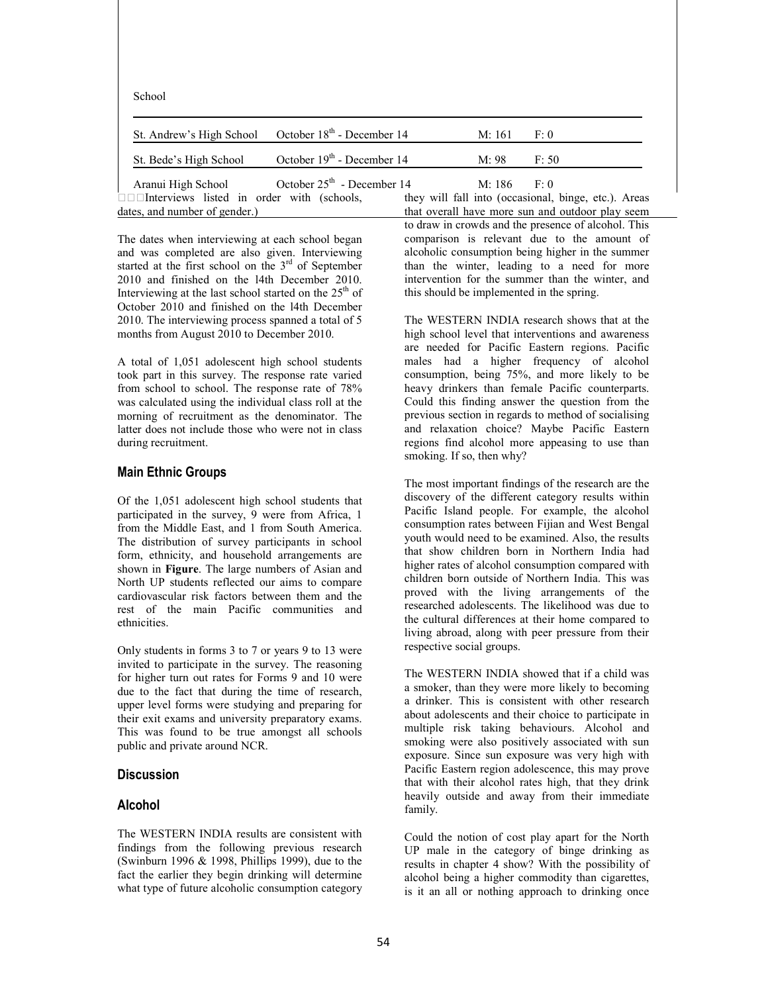| School                                           |                                        |        |                                                      |
|--------------------------------------------------|----------------------------------------|--------|------------------------------------------------------|
| St. Andrew's High School                         | October 18 <sup>th</sup> - December 14 | M: 161 | F: 0                                                 |
| St. Bede's High School                           | October 19 <sup>th</sup> - December 14 | M: 98  | F: 50                                                |
| Aranui High School                               | October $25th$ - December 14           | M: 186 | F: 0                                                 |
| $\Box$ Interviews listed in order with (schools, |                                        |        | they will fall into (occasional, binge, etc.). Areas |
| dates, and number of gender.)                    |                                        |        | that overall have more sun and outdoor play seem     |

The dates when interviewing at each school began and was completed are also given. Interviewing started at the first school on the 3<sup>rd</sup> of September 2010 and finished on the l4th December 2010. Interviewing at the last school started on the  $25<sup>th</sup>$  of October 2010 and finished on the l4th December 2010. The interviewing process spanned a total of 5 months from August 2010 to December 2010.

A total of 1,051 adolescent high school students took part in this survey. The response rate varied from school to school. The response rate of 78% was calculated using the individual class roll at the morning of recruitment as the denominator. The latter does not include those who were not in class during recruitment.

#### **Main Ethnic Groups**

Of the 1,051 adolescent high school students that participated in the survey, 9 were from Africa, 1 from the Middle East, and 1 from South America. The distribution of survey participants in school form, ethnicity, and household arrangements are shown in **Figure**. The large numbers of Asian and North UP students reflected our aims to compare cardiovascular risk factors between them and the rest of the main Pacific communities and ethnicities.

Only students in forms 3 to 7 or years 9 to 13 were invited to participate in the survey. The reasoning for higher turn out rates for Forms 9 and 10 were due to the fact that during the time of research, upper level forms were studying and preparing for their exit exams and university preparatory exams. This was found to be true amongst all schools public and private around NCR.

#### **Discussion**

### **Alcohol**

The WESTERN INDIA results are consistent with findings from the following previous research (Swinburn 1996 & 1998, Phillips 1999), due to the fact the earlier they begin drinking will determine what type of future alcoholic consumption category

that overall have more sun and outdoor play seem to draw in crowds and the presence of alcohol. This comparison is relevant due to the amount of alcoholic consumption being higher in the summer than the winter, leading to a need for more intervention for the summer than the winter, and this should be implemented in the spring.

The WESTERN INDIA research shows that at the high school level that interventions and awareness are needed for Pacific Eastern regions. Pacific males had a higher frequency of alcohol consumption, being 75%, and more likely to be heavy drinkers than female Pacific counterparts. Could this finding answer the question from the previous section in regards to method of socialising and relaxation choice? Maybe Pacific Eastern regions find alcohol more appeasing to use than smoking. If so, then why?

The most important findings of the research are the discovery of the different category results within Pacific Island people. For example, the alcohol consumption rates between Fijian and West Bengal youth would need to be examined. Also, the results that show children born in Northern India had higher rates of alcohol consumption compared with children born outside of Northern India. This was proved with the living arrangements of the researched adolescents. The likelihood was due to the cultural differences at their home compared to living abroad, along with peer pressure from their respective social groups.

The WESTERN INDIA showed that if a child was a smoker, than they were more likely to becoming a drinker. This is consistent with other research about adolescents and their choice to participate in multiple risk taking behaviours. Alcohol and smoking were also positively associated with sun exposure. Since sun exposure was very high with Pacific Eastern region adolescence, this may prove that with their alcohol rates high, that they drink heavily outside and away from their immediate family.

Could the notion of cost play apart for the North UP male in the category of binge drinking as results in chapter 4 show? With the possibility of alcohol being a higher commodity than cigarettes, is it an all or nothing approach to drinking once